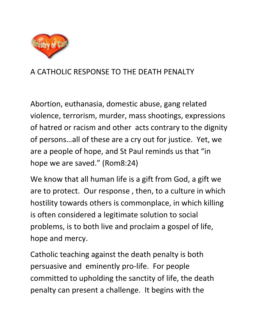

## A CATHOLIC RESPONSE TO THE DEATH PENALTY

Abortion, euthanasia, domestic abuse, gang related violence, terrorism, murder, mass shootings, expressions of hatred or racism and other acts contrary to the dignity of persons…all of these are a cry out for justice. Yet, we are a people of hope, and St Paul reminds us that "in hope we are saved." (Rom8:24)

We know that all human life is a gift from God, a gift we are to protect. Our response , then, to a culture in which hostility towards others is commonplace, in which killing is often considered a legitimate solution to social problems, is to both live and proclaim a gospel of life, hope and mercy.

Catholic teaching against the death penalty is both persuasive and eminently pro-life. For people committed to upholding the sanctity of life, the death penalty can present a challenge. It begins with the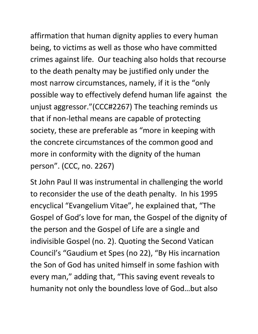affirmation that human dignity applies to every human being, to victims as well as those who have committed crimes against life. Our teaching also holds that recourse to the death penalty may be justified only under the most narrow circumstances, namely, if it is the "only possible way to effectively defend human life against the unjust aggressor."(CCC#2267) The teaching reminds us that if non-lethal means are capable of protecting society, these are preferable as "more in keeping with the concrete circumstances of the common good and more in conformity with the dignity of the human person". (CCC, no. 2267)

St John Paul II was instrumental in challenging the world to reconsider the use of the death penalty. In his 1995 encyclical "Evangelium Vitae", he explained that, "The Gospel of God's love for man, the Gospel of the dignity of the person and the Gospel of Life are a single and indivisible Gospel (no. 2). Quoting the Second Vatican Council's "Gaudium et Spes (no 22), "By His incarnation the Son of God has united himself in some fashion with every man," adding that, "This saving event reveals to humanity not only the boundless love of God…but also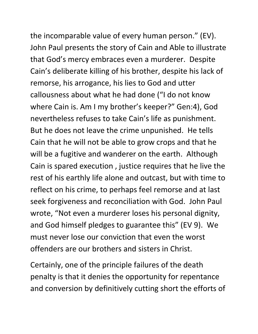the incomparable value of every human person." (EV). John Paul presents the story of Cain and Able to illustrate that God's mercy embraces even a murderer. Despite Cain's deliberate killing of his brother, despite his lack of remorse, his arrogance, his lies to God and utter callousness about what he had done ("I do not know where Cain is. Am I my brother's keeper?" Gen:4), God nevertheless refuses to take Cain's life as punishment. But he does not leave the crime unpunished. He tells Cain that he will not be able to grow crops and that he will be a fugitive and wanderer on the earth. Although Cain is spared execution , justice requires that he live the rest of his earthly life alone and outcast, but with time to reflect on his crime, to perhaps feel remorse and at last seek forgiveness and reconciliation with God. John Paul wrote, "Not even a murderer loses his personal dignity, and God himself pledges to guarantee this" (EV 9). We must never lose our conviction that even the worst offenders are our brothers and sisters in Christ.

Certainly, one of the principle failures of the death penalty is that it denies the opportunity for repentance and conversion by definitively cutting short the efforts of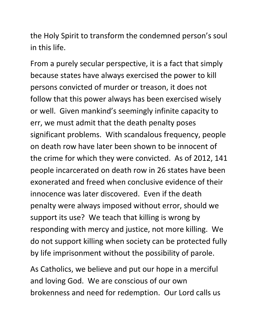the Holy Spirit to transform the condemned person's soul in this life.

From a purely secular perspective, it is a fact that simply because states have always exercised the power to kill persons convicted of murder or treason, it does not follow that this power always has been exercised wisely or well. Given mankind's seemingly infinite capacity to err, we must admit that the death penalty poses significant problems. With scandalous frequency, people on death row have later been shown to be innocent of the crime for which they were convicted. As of 2012, 141 people incarcerated on death row in 26 states have been exonerated and freed when conclusive evidence of their innocence was later discovered. Even if the death penalty were always imposed without error, should we support its use? We teach that killing is wrong by responding with mercy and justice, not more killing. We do not support killing when society can be protected fully by life imprisonment without the possibility of parole.

As Catholics, we believe and put our hope in a merciful and loving God. We are conscious of our own brokenness and need for redemption. Our Lord calls us